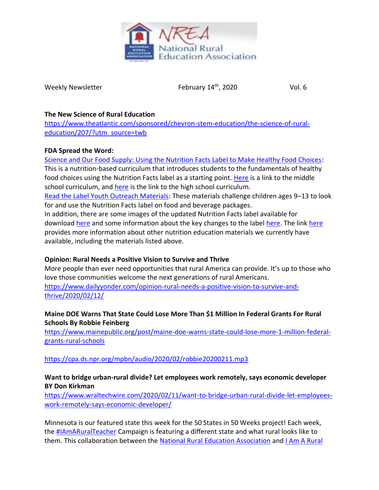

Weekly Newsletter

February  $14<sup>th</sup>$ , 2020 Vol. 6

### **The New Science of Rural Education**

[https://www.theatlantic.com/sponsored/chevron-stem-education/the-science-of-rural](https://www.theatlantic.com/sponsored/chevron-stem-education/the-science-of-rural-education/207/?utm_source=twb)[education/207/?utm\\_source=twb](https://www.theatlantic.com/sponsored/chevron-stem-education/the-science-of-rural-education/207/?utm_source=twb)

## **FDA Spread the Word:**

[Science and Our Food Supply: Using the Nutrition Facts Label to Make Healthy Food Choices:](https://www.fda.gov/food/students-teachers/science-and-our-food-supply) This is a nutrition-based curriculum that introduces students to the fundamentals of healthy food choices using the Nutrition Facts label as a starting point. [Here](https://www.fda.gov/media/95613/download) is a link to the middle school curriculum, and [here](https://www.fda.gov/media/109430/download) is the link to the high school curriculum.

[Read the Label Youth Outreach Materials:](https://www.fda.gov/food/nutrition-education-resources-materials/nutrition-facts-label-read-label-youth-outreach-materials) These materials challenge children ages 9–13 to look for and use the Nutrition Facts label on food and beverage packages.

In addition, there are some images of the updated Nutrition Facts label available for download [here](http://www.fda.gov/nutritioneducation) and some information about the key changes to the label [here.](https://www.fda.gov/media/99331/download) The link here provides more information about other nutrition education materials we currently have available, including the materials listed above.

# **Opinion: Rural Needs a Positive Vision to Survive and Thrive**

More people than ever need opportunities that rural America can provide. It's up to those who love those communities welcome the next generations of rural Americans. [https://www.dailyyonder.com/opinion-rural-needs-a-positive-vision-to-survive-and](https://www.dailyyonder.com/opinion-rural-needs-a-positive-vision-to-survive-and-thrive/2020/02/12/)[thrive/2020/02/12/](https://www.dailyyonder.com/opinion-rural-needs-a-positive-vision-to-survive-and-thrive/2020/02/12/)

## **Maine DOE Warns That State Could Lose More Than \$1 Million In Federal Grants For Rural Schools By Robbie Feinberg**

[https://www.mainepublic.org/post/maine-doe-warns-state-could-lose-more-1-million-federal](https://www.mainepublic.org/post/maine-doe-warns-state-could-lose-more-1-million-federal-grants-rural-schools)[grants-rural-schools](https://www.mainepublic.org/post/maine-doe-warns-state-could-lose-more-1-million-federal-grants-rural-schools)

# <https://cpa.ds.npr.org/mpbn/audio/2020/02/robbie20200211.mp3>

## **Want to bridge urban-rural divide? Let employees work remotely, says economic developer BY Don Kirkman**

[https://www.wraltechwire.com/2020/02/11/want-to-bridge-urban-rural-divide-let-employees](https://www.wraltechwire.com/2020/02/11/want-to-bridge-urban-rural-divide-let-employees-work-remotely-says-economic-developer/)[work-remotely-says-economic-developer/](https://www.wraltechwire.com/2020/02/11/want-to-bridge-urban-rural-divide-let-employees-work-remotely-says-economic-developer/)

Minnesota is our featured state this week for the 50 States in 50 Weeks project! Each week, the [#IAmARuralTeacher](https://www.facebook.com/hashtag/iamaruralteacher?source=feed_text&epa=HASHTAG&__xts__%5B0%5D=68.ARDZQbsuBph95tsPfW7eS9eL3nNUGlXAElX7iL-8k8H2Ceut-Zqdj4h4Yly1wVRKDWvQzJKC9CjTCGBKi_xOB9Fj6Gvg0wLzvH2V5s-Zjgf7SKPVj2WpZomAC7TPIc--xgsE3xjCACm2YGjUrllyRVxVZWAxqhiQDtKJZx5nxeecuRMvCbn0V3ah9B_raIXObuDRqrOLNDpmKIOuBIoSPo03Lctl7cw9jRm0JJf5001-gjGK_KcP0JV-a_VUoGGYACqL67c3ylDjHzwE14Wy7K603mtVormbMM3t6AEwLLyu2dXmw_jaP3lKA7GK-auapCDV36v41mntR1BHisMr0fTdljzy2Uq52ycMtb-RwPmifcHlZoY4rhOMU6yHFi0watduwWbMw6eLnJp6DT0ipApnqRFA9TWNstF8g5KQcmz5EJHpzckmEPQbknrR5xd-DDsoyIxN6MehL6vyF-u47nHPCaXVVwsyK2RuCWrVxLxzktDNUvVGFQ&__tn__=%2ANK-R) Campaign is featuring a different state and what rural looks like to them. This collaboration between the [National Rural Education Association](https://www.facebook.com/nrea1907/?__tn__=K-R&eid=ARCfgbg5PSO5Ta9nDhNPbHvvlQaQZy0KHIoFxeH7VCBjXhnu8S9Vw7o9vyhcfjeK6fbpOeNfFxoQohq8&fref=mentions&__xts__%5B0%5D=68.ARDZQbsuBph95tsPfW7eS9eL3nNUGlXAElX7iL-8k8H2Ceut-Zqdj4h4Yly1wVRKDWvQzJKC9CjTCGBKi_xOB9Fj6Gvg0wLzvH2V5s-Zjgf7SKPVj2WpZomAC7TPIc--xgsE3xjCACm2YGjUrllyRVxVZWAxqhiQDtKJZx5nxeecuRMvCbn0V3ah9B_raIXObuDRqrOLNDpmKIOuBIoSPo03Lctl7cw9jRm0JJf5001-gjGK_KcP0JV-a_VUoGGYACqL67c3ylDjHzwE14Wy7K603mtVormbMM3t6AEwLLyu2dXmw_jaP3lKA7GK-auapCDV36v41mntR1BHisMr0fTdljzy2Uq52ycMtb-RwPmifcHlZoY4rhOMU6yHFi0watduwWbMw6eLnJp6DT0ipApnqRFA9TWNstF8g5KQcmz5EJHpzckmEPQbknrR5xd-DDsoyIxN6MehL6vyF-u47nHPCaXVVwsyK2RuCWrVxLxzktDNUvVGFQ) and [I Am A Rural](https://www.facebook.com/IAARTCampaign/?__tn__=K-R&eid=ARAbltj5spFEr8a12bnA4WBjioWtO4SpwMbMvYSPREIuwcoJUlLdpECT-CJ1SQw3Ep3QrpO9j7clXPl2&fref=mentions&__xts__%5B0%5D=68.ARDZQbsuBph95tsPfW7eS9eL3nNUGlXAElX7iL-8k8H2Ceut-Zqdj4h4Yly1wVRKDWvQzJKC9CjTCGBKi_xOB9Fj6Gvg0wLzvH2V5s-Zjgf7SKPVj2WpZomAC7TPIc--xgsE3xjCACm2YGjUrllyRVxVZWAxqhiQDtKJZx5nxeecuRMvCbn0V3ah9B_raIXObuDRqrOLNDpmKIOuBIoSPo03Lctl7cw9jRm0JJf5001-gjGK_KcP0JV-a_VUoGGYACqL67c3ylDjHzwE14Wy7K603mtVormbMM3t6AEwLLyu2dXmw_jaP3lKA7GK-auapCDV36v41mntR1BHisMr0fTdljzy2Uq52ycMtb-RwPmifcHlZoY4rhOMU6yHFi0watduwWbMw6eLnJp6DT0ipApnqRFA9TWNstF8g5KQcmz5EJHpzckmEPQbknrR5xd-DDsoyIxN6MehL6vyF-u47nHPCaXVVwsyK2RuCWrVxLxzktDNUvVGFQ)